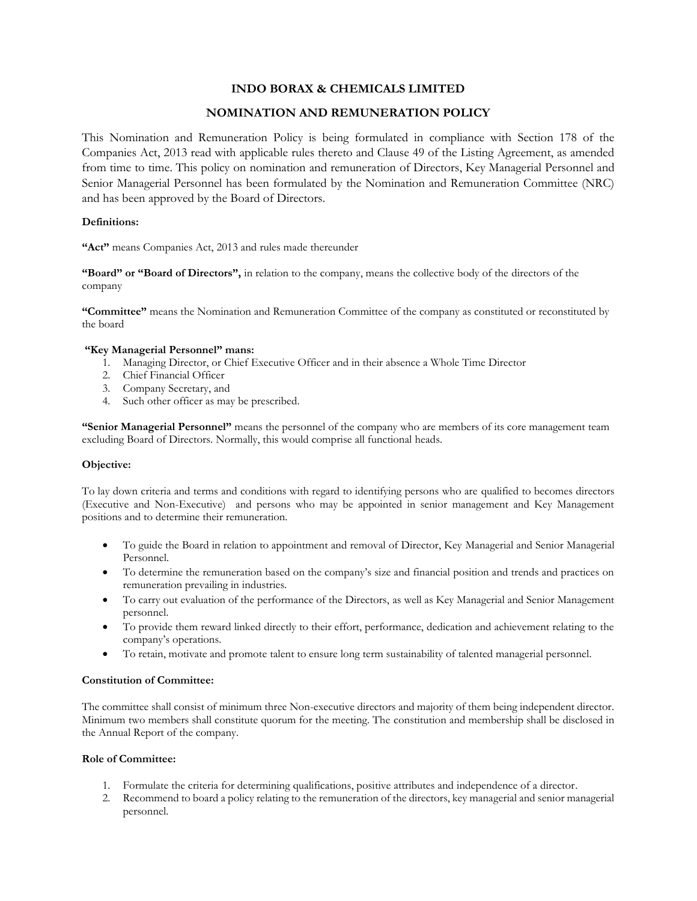# **INDO BORAX & CHEMICALS LIMITED**

# **NOMINATION AND REMUNERATION POLICY**

This Nomination and Remuneration Policy is being formulated in compliance with Section 178 of the Companies Act, 2013 read with applicable rules thereto and Clause 49 of the Listing Agreement, as amended from time to time. This policy on nomination and remuneration of Directors, Key Managerial Personnel and Senior Managerial Personnel has been formulated by the Nomination and Remuneration Committee (NRC) and has been approved by the Board of Directors.

## **Definitions:**

**"Act"** means Companies Act, 2013 and rules made thereunder

**"Board" or "Board of Directors",** in relation to the company, means the collective body of the directors of the company

**"Committee"** means the Nomination and Remuneration Committee of the company as constituted or reconstituted by the board

## **"Key Managerial Personnel" mans:**

- 1. Managing Director, or Chief Executive Officer and in their absence a Whole Time Director
- 2. Chief Financial Officer
- 3. Company Secretary, and
- 4. Such other officer as may be prescribed.

**"Senior Managerial Personnel"** means the personnel of the company who are members of its core management team excluding Board of Directors. Normally, this would comprise all functional heads.

### **Objective:**

To lay down criteria and terms and conditions with regard to identifying persons who are qualified to becomes directors (Executive and Non-Executive) and persons who may be appointed in senior management and Key Management positions and to determine their remuneration.

- To guide the Board in relation to appointment and removal of Director, Key Managerial and Senior Managerial Personnel.
- To determine the remuneration based on the company's size and financial position and trends and practices on remuneration prevailing in industries.
- To carry out evaluation of the performance of the Directors, as well as Key Managerial and Senior Management personnel.
- To provide them reward linked directly to their effort, performance, dedication and achievement relating to the company's operations.
- To retain, motivate and promote talent to ensure long term sustainability of talented managerial personnel.

### **Constitution of Committee:**

The committee shall consist of minimum three Non-executive directors and majority of them being independent director. Minimum two members shall constitute quorum for the meeting. The constitution and membership shall be disclosed in the Annual Report of the company.

### **Role of Committee:**

- 1. Formulate the criteria for determining qualifications, positive attributes and independence of a director.
- 2. Recommend to board a policy relating to the remuneration of the directors, key managerial and senior managerial personnel.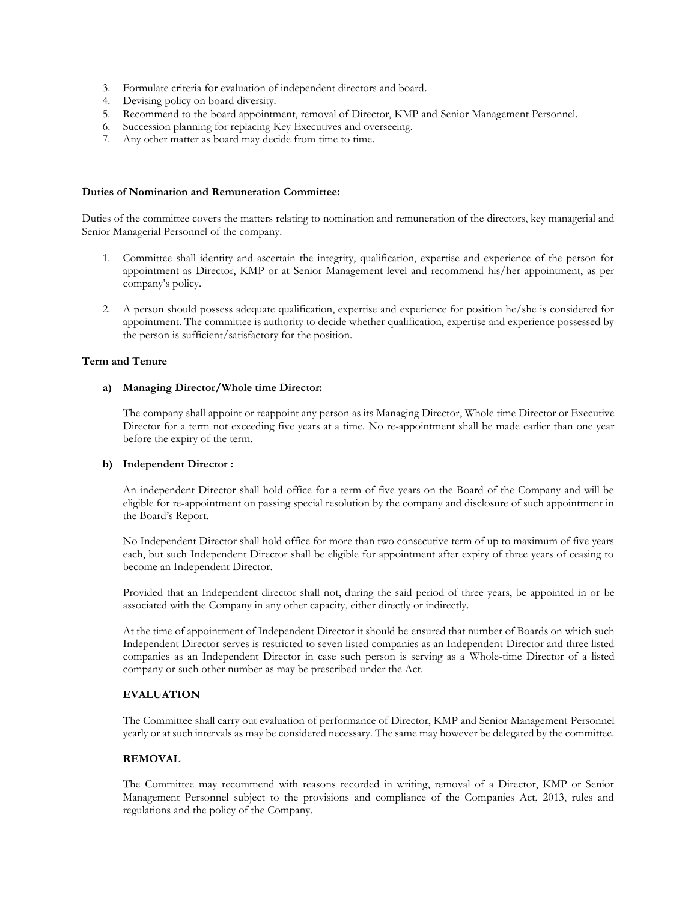- 3. Formulate criteria for evaluation of independent directors and board.
- 4. Devising policy on board diversity.
- 5. Recommend to the board appointment, removal of Director, KMP and Senior Management Personnel.
- 6. Succession planning for replacing Key Executives and overseeing.
- 7. Any other matter as board may decide from time to time.

#### **Duties of Nomination and Remuneration Committee:**

Duties of the committee covers the matters relating to nomination and remuneration of the directors, key managerial and Senior Managerial Personnel of the company.

- 1. Committee shall identity and ascertain the integrity, qualification, expertise and experience of the person for appointment as Director, KMP or at Senior Management level and recommend his/her appointment, as per company's policy.
- 2. A person should possess adequate qualification, expertise and experience for position he/she is considered for appointment. The committee is authority to decide whether qualification, expertise and experience possessed by the person is sufficient/satisfactory for the position.

## **Term and Tenure**

### **a) Managing Director/Whole time Director:**

The company shall appoint or reappoint any person as its Managing Director, Whole time Director or Executive Director for a term not exceeding five years at a time. No re-appointment shall be made earlier than one year before the expiry of the term.

### **b) Independent Director :**

An independent Director shall hold office for a term of five years on the Board of the Company and will be eligible for re-appointment on passing special resolution by the company and disclosure of such appointment in the Board's Report.

No Independent Director shall hold office for more than two consecutive term of up to maximum of five years each, but such Independent Director shall be eligible for appointment after expiry of three years of ceasing to become an Independent Director.

Provided that an Independent director shall not, during the said period of three years, be appointed in or be associated with the Company in any other capacity, either directly or indirectly.

At the time of appointment of Independent Director it should be ensured that number of Boards on which such Independent Director serves is restricted to seven listed companies as an Independent Director and three listed companies as an Independent Director in case such person is serving as a Whole-time Director of a listed company or such other number as may be prescribed under the Act.

## **EVALUATION**

The Committee shall carry out evaluation of performance of Director, KMP and Senior Management Personnel yearly or at such intervals as may be considered necessary. The same may however be delegated by the committee.

### **REMOVAL**

The Committee may recommend with reasons recorded in writing, removal of a Director, KMP or Senior Management Personnel subject to the provisions and compliance of the Companies Act, 2013, rules and regulations and the policy of the Company.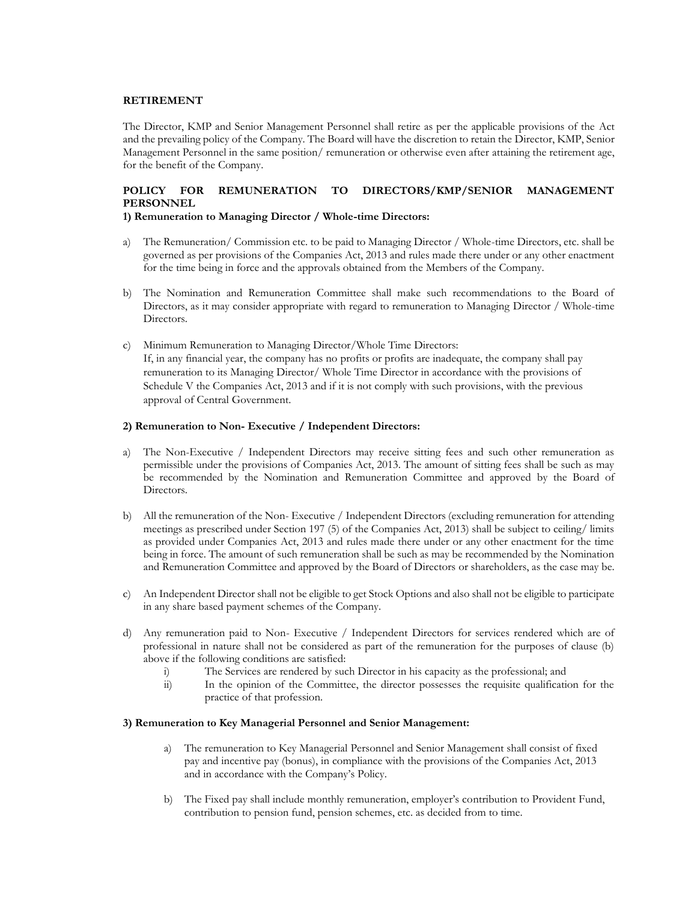### **RETIREMENT**

The Director, KMP and Senior Management Personnel shall retire as per the applicable provisions of the Act and the prevailing policy of the Company. The Board will have the discretion to retain the Director, KMP, Senior Management Personnel in the same position/ remuneration or otherwise even after attaining the retirement age, for the benefit of the Company.

## **POLICY FOR REMUNERATION TO DIRECTORS/KMP/SENIOR MANAGEMENT PERSONNEL**

### **1) Remuneration to Managing Director / Whole-time Directors:**

- a) The Remuneration/ Commission etc. to be paid to Managing Director / Whole-time Directors, etc. shall be governed as per provisions of the Companies Act, 2013 and rules made there under or any other enactment for the time being in force and the approvals obtained from the Members of the Company.
- b) The Nomination and Remuneration Committee shall make such recommendations to the Board of Directors, as it may consider appropriate with regard to remuneration to Managing Director / Whole-time Directors.
- c) Minimum Remuneration to Managing Director/Whole Time Directors: If, in any financial year, the company has no profits or profits are inadequate, the company shall pay remuneration to its Managing Director/ Whole Time Director in accordance with the provisions of Schedule V the Companies Act, 2013 and if it is not comply with such provisions, with the previous approval of Central Government.

#### **2) Remuneration to Non- Executive / Independent Directors:**

- a) The Non-Executive / Independent Directors may receive sitting fees and such other remuneration as permissible under the provisions of Companies Act, 2013. The amount of sitting fees shall be such as may be recommended by the Nomination and Remuneration Committee and approved by the Board of Directors.
- b) All the remuneration of the Non- Executive / Independent Directors (excluding remuneration for attending meetings as prescribed under Section 197 (5) of the Companies Act, 2013) shall be subject to ceiling/ limits as provided under Companies Act, 2013 and rules made there under or any other enactment for the time being in force. The amount of such remuneration shall be such as may be recommended by the Nomination and Remuneration Committee and approved by the Board of Directors or shareholders, as the case may be.
- c) An Independent Director shall not be eligible to get Stock Options and also shall not be eligible to participate in any share based payment schemes of the Company.
- d) Any remuneration paid to Non- Executive / Independent Directors for services rendered which are of professional in nature shall not be considered as part of the remuneration for the purposes of clause (b) above if the following conditions are satisfied:
	- i) The Services are rendered by such Director in his capacity as the professional; and ii) In the opinion of the Committee, the director possesses the requisite qualification
	- In the opinion of the Committee, the director possesses the requisite qualification for the practice of that profession.

#### **3) Remuneration to Key Managerial Personnel and Senior Management:**

- a) The remuneration to Key Managerial Personnel and Senior Management shall consist of fixed pay and incentive pay (bonus), in compliance with the provisions of the Companies Act, 2013 and in accordance with the Company's Policy.
- b) The Fixed pay shall include monthly remuneration, employer's contribution to Provident Fund, contribution to pension fund, pension schemes, etc. as decided from to time.